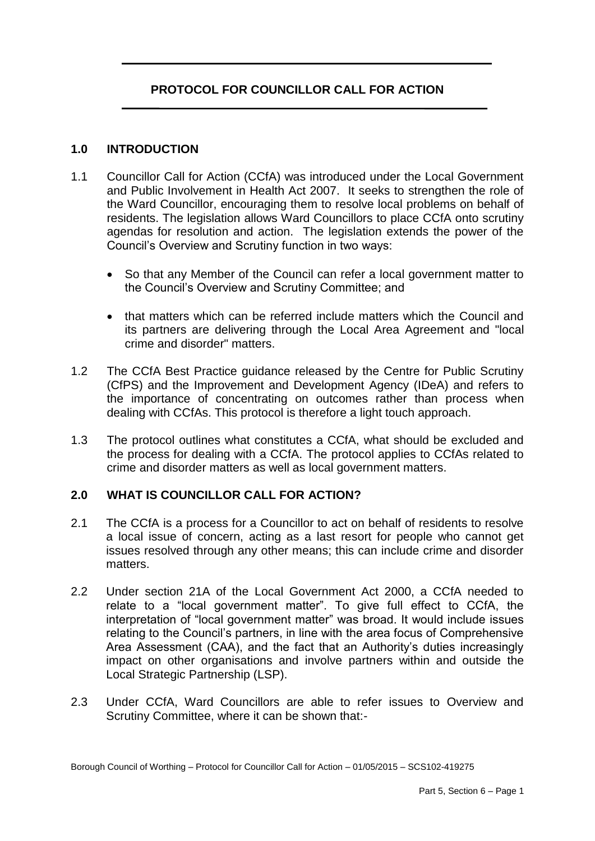# **PROTOCOL FOR COUNCILLOR CALL FOR ACTION**

#### **1.0 INTRODUCTION**

- 1.1 Councillor Call for Action (CCfA) was introduced under the Local Government and Public Involvement in Health Act 2007. It seeks to strengthen the role of the Ward Councillor, encouraging them to resolve local problems on behalf of residents. The legislation allows Ward Councillors to place CCfA onto scrutiny agendas for resolution and action. The legislation extends the power of the Council's Overview and Scrutiny function in two ways:
	- So that any Member of the Council can refer a local government matter to the Council's Overview and Scrutiny Committee; and
	- that matters which can be referred include matters which the Council and its partners are delivering through the Local Area Agreement and "local crime and disorder" matters.
- 1.2 The CCfA Best Practice guidance released by the Centre for Public Scrutiny (CfPS) and the Improvement and Development Agency (IDeA) and refers to the importance of concentrating on outcomes rather than process when dealing with CCfAs. This protocol is therefore a light touch approach.
- 1.3 The protocol outlines what constitutes a CCfA, what should be excluded and the process for dealing with a CCfA. The protocol applies to CCfAs related to crime and disorder matters as well as local government matters.

### **2.0 WHAT IS COUNCILLOR CALL FOR ACTION?**

- 2.1 The CCfA is a process for a Councillor to act on behalf of residents to resolve a local issue of concern, acting as a last resort for people who cannot get issues resolved through any other means; this can include crime and disorder matters.
- 2.2 Under section 21A of the Local Government Act 2000, a CCfA needed to relate to a "local government matter". To give full effect to CCfA, the interpretation of "local government matter" was broad. It would include issues relating to the Council's partners, in line with the area focus of Comprehensive Area Assessment (CAA), and the fact that an Authority's duties increasingly impact on other organisations and involve partners within and outside the Local Strategic Partnership (LSP).
- 2.3 Under CCfA, Ward Councillors are able to refer issues to Overview and Scrutiny Committee, where it can be shown that:-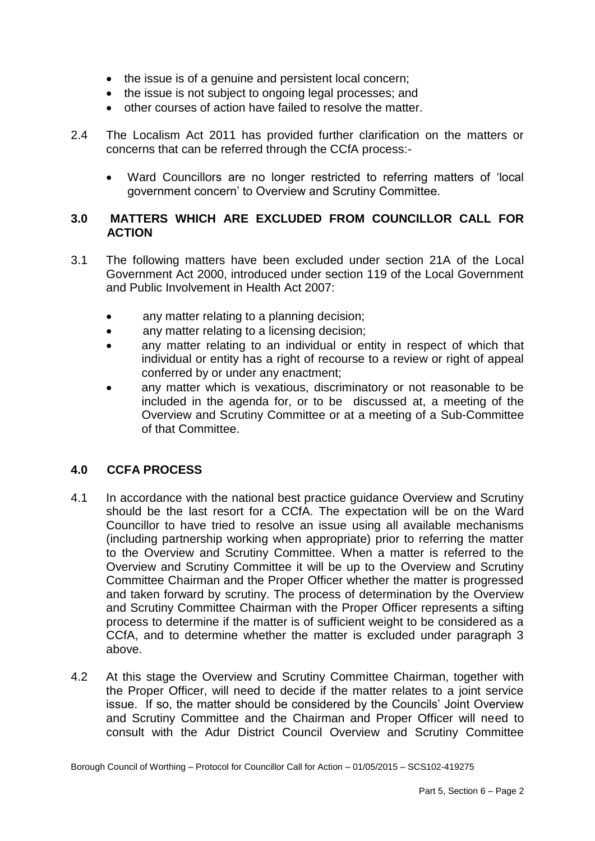- the issue is of a genuine and persistent local concern;
- the issue is not subject to ongoing legal processes; and
- other courses of action have failed to resolve the matter.
- 2.4 The Localism Act 2011 has provided further clarification on the matters or concerns that can be referred through the CCfA process:-
	- Ward Councillors are no longer restricted to referring matters of 'local government concern' to Overview and Scrutiny Committee.

### **3.0 MATTERS WHICH ARE EXCLUDED FROM COUNCILLOR CALL FOR ACTION**

- 3.1 The following matters have been excluded under section 21A of the Local Government Act 2000, introduced under section 119 of the Local Government and Public Involvement in Health Act 2007:
	- any matter relating to a planning decision;
	- any matter relating to a licensing decision;
	- any matter relating to an individual or entity in respect of which that individual or entity has a right of recourse to a review or right of appeal conferred by or under any enactment;
	- any matter which is vexatious, discriminatory or not reasonable to be included in the agenda for, or to be discussed at, a meeting of the Overview and Scrutiny Committee or at a meeting of a Sub-Committee of that Committee.

## **4.0 CCFA PROCESS**

- 4.1 In accordance with the national best practice guidance Overview and Scrutiny should be the last resort for a CCfA. The expectation will be on the Ward Councillor to have tried to resolve an issue using all available mechanisms (including partnership working when appropriate) prior to referring the matter to the Overview and Scrutiny Committee. When a matter is referred to the Overview and Scrutiny Committee it will be up to the Overview and Scrutiny Committee Chairman and the Proper Officer whether the matter is progressed and taken forward by scrutiny. The process of determination by the Overview and Scrutiny Committee Chairman with the Proper Officer represents a sifting process to determine if the matter is of sufficient weight to be considered as a CCfA, and to determine whether the matter is excluded under paragraph 3 above.
- 4.2 At this stage the Overview and Scrutiny Committee Chairman, together with the Proper Officer, will need to decide if the matter relates to a joint service issue. If so, the matter should be considered by the Councils' Joint Overview and Scrutiny Committee and the Chairman and Proper Officer will need to consult with the Adur District Council Overview and Scrutiny Committee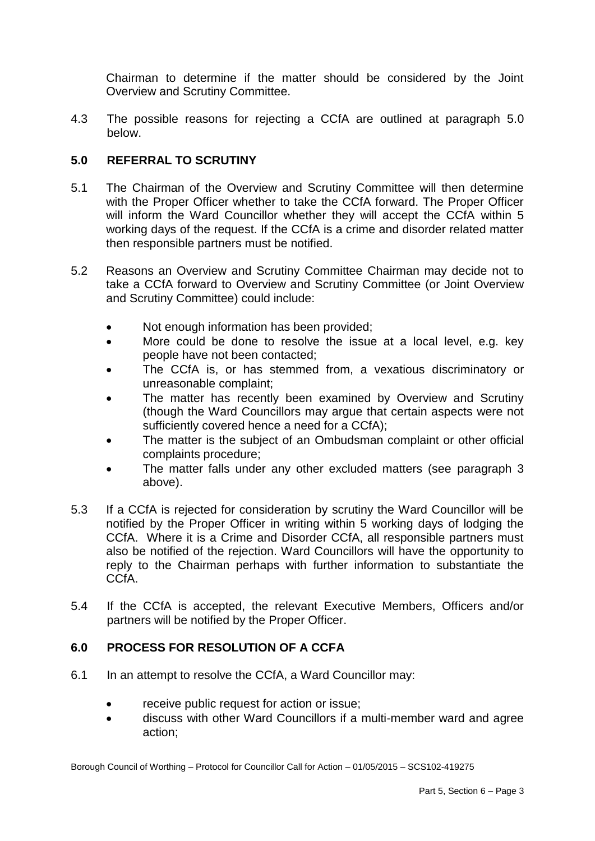Chairman to determine if the matter should be considered by the Joint Overview and Scrutiny Committee.

4.3 The possible reasons for rejecting a CCfA are outlined at paragraph 5.0 below.

### **5.0 REFERRAL TO SCRUTINY**

- 5.1 The Chairman of the Overview and Scrutiny Committee will then determine with the Proper Officer whether to take the CCfA forward. The Proper Officer will inform the Ward Councillor whether they will accept the CCfA within 5 working days of the request. If the CCfA is a crime and disorder related matter then responsible partners must be notified.
- 5.2 Reasons an Overview and Scrutiny Committee Chairman may decide not to take a CCfA forward to Overview and Scrutiny Committee (or Joint Overview and Scrutiny Committee) could include:
	- Not enough information has been provided;
	- More could be done to resolve the issue at a local level, e.g. key people have not been contacted;
	- The CCfA is, or has stemmed from, a vexatious discriminatory or unreasonable complaint;
	- The matter has recently been examined by Overview and Scrutiny (though the Ward Councillors may argue that certain aspects were not sufficiently covered hence a need for a CCfA);
	- The matter is the subject of an Ombudsman complaint or other official complaints procedure;
	- The matter falls under any other excluded matters (see paragraph 3 above).
- 5.3 If a CCfA is rejected for consideration by scrutiny the Ward Councillor will be notified by the Proper Officer in writing within 5 working days of lodging the CCfA. Where it is a Crime and Disorder CCfA, all responsible partners must also be notified of the rejection. Ward Councillors will have the opportunity to reply to the Chairman perhaps with further information to substantiate the CCfA.
- 5.4 If the CCfA is accepted, the relevant Executive Members, Officers and/or partners will be notified by the Proper Officer.

### **6.0 PROCESS FOR RESOLUTION OF A CCFA**

- 6.1 In an attempt to resolve the CCfA, a Ward Councillor may:
	- receive public request for action or issue;
	- discuss with other Ward Councillors if a multi-member ward and agree action;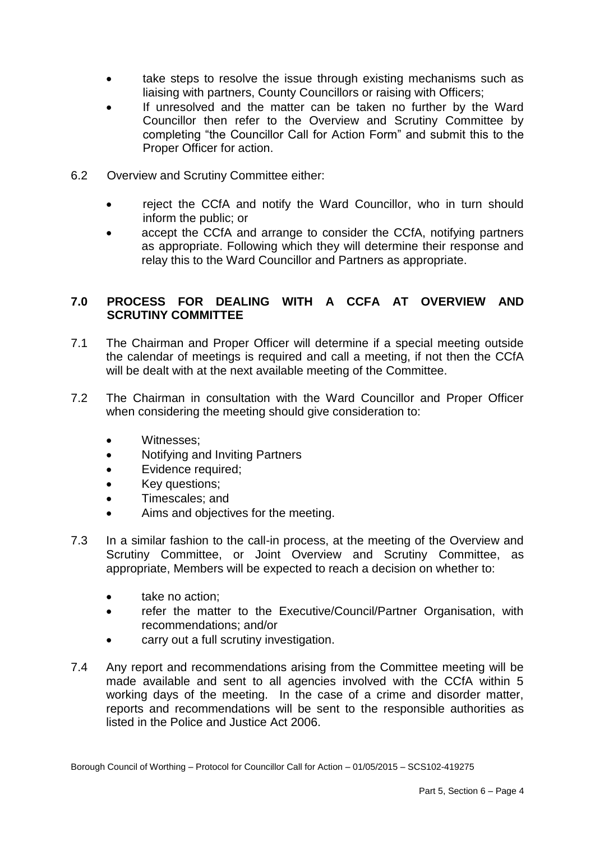- take steps to resolve the issue through existing mechanisms such as liaising with partners, County Councillors or raising with Officers;
- If unresolved and the matter can be taken no further by the Ward Councillor then refer to the Overview and Scrutiny Committee by completing "the Councillor Call for Action Form" and submit this to the Proper Officer for action.
- 6.2 Overview and Scrutiny Committee either:
	- reject the CCfA and notify the Ward Councillor, who in turn should inform the public; or
	- accept the CCfA and arrange to consider the CCfA, notifying partners as appropriate. Following which they will determine their response and relay this to the Ward Councillor and Partners as appropriate.

## **7.0 PROCESS FOR DEALING WITH A CCFA AT OVERVIEW AND SCRUTINY COMMITTEE**

- 7.1 The Chairman and Proper Officer will determine if a special meeting outside the calendar of meetings is required and call a meeting, if not then the CCfA will be dealt with at the next available meeting of the Committee.
- 7.2 The Chairman in consultation with the Ward Councillor and Proper Officer when considering the meeting should give consideration to:
	- Witnesses:
	- Notifying and Inviting Partners
	- Evidence required:
	- Key questions;
	- Timescales; and
	- Aims and objectives for the meeting.
- 7.3 In a similar fashion to the call-in process, at the meeting of the Overview and Scrutiny Committee, or Joint Overview and Scrutiny Committee, as appropriate, Members will be expected to reach a decision on whether to:
	- take no action:
	- refer the matter to the Executive/Council/Partner Organisation, with recommendations; and/or
	- carry out a full scrutiny investigation.
- 7.4 Any report and recommendations arising from the Committee meeting will be made available and sent to all agencies involved with the CCfA within 5 working days of the meeting. In the case of a crime and disorder matter, reports and recommendations will be sent to the responsible authorities as listed in the Police and Justice Act 2006.